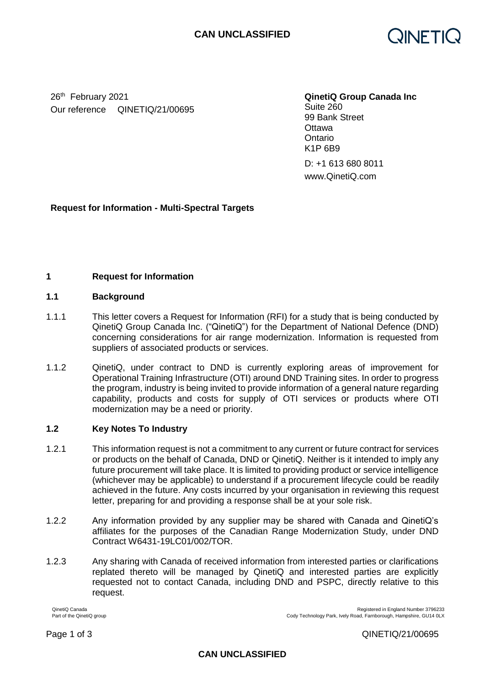

26th February 2021 **QinetiQ Group Canada Inc** Our reference QINETIQ/21/00695

Suite 260 99 Bank Street **Ottawa Ontario** K1P 6B9

D: +1 613 680 8011 www.QinetiQ.com

# **Request for Information - Multi-Spectral Targets**

## **1 Request for Information**

### **1.1 Background**

- 1.1.1 This letter covers a Request for Information (RFI) for a study that is being conducted by QinetiQ Group Canada Inc. ("QinetiQ") for the Department of National Defence (DND) concerning considerations for air range modernization. Information is requested from suppliers of associated products or services.
- 1.1.2 QinetiQ, under contract to DND is currently exploring areas of improvement for Operational Training Infrastructure (OTI) around DND Training sites. In order to progress the program, industry is being invited to provide information of a general nature regarding capability, products and costs for supply of OTI services or products where OTI modernization may be a need or priority.

## **1.2 Key Notes To Industry**

- 1.2.1 This information request is not a commitment to any current or future contract for services or products on the behalf of Canada, DND or QinetiQ. Neither is it intended to imply any future procurement will take place. It is limited to providing product or service intelligence (whichever may be applicable) to understand if a procurement lifecycle could be readily achieved in the future. Any costs incurred by your organisation in reviewing this request letter, preparing for and providing a response shall be at your sole risk.
- 1.2.2 Any information provided by any supplier may be shared with Canada and QinetiQ's affiliates for the purposes of the Canadian Range Modernization Study, under DND Contract W6431-19LC01/002/TOR.
- 1.2.3 Any sharing with Canada of received information from interested parties or clarifications replated thereto will be managed by QinetiQ and interested parties are explicitly requested not to contact Canada, including DND and PSPC, directly relative to this request.

QinetiQ Canada Registered in England Number 3796233<br>Part of the QinetiQ group<br>Part of the QinetiQ group

Cody Technology Park, Ively Road, Farnborough, Hampshire, GU14 0LX

Page 1 of 3 QINETIQ/21/00695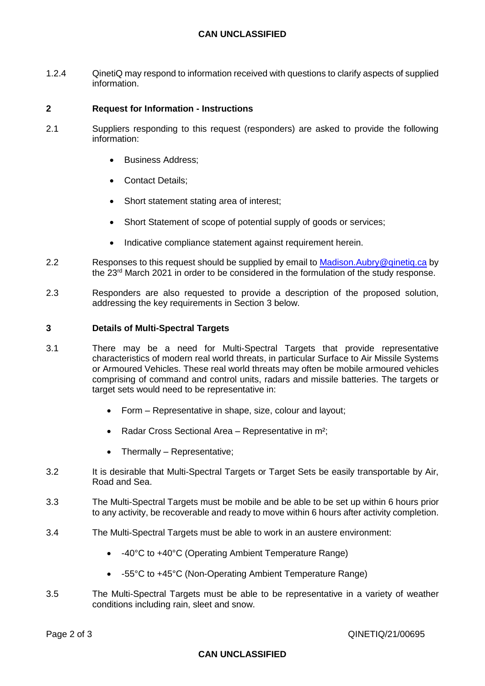# **CAN UNCLASSIFIED**

1.2.4 QinetiQ may respond to information received with questions to clarify aspects of supplied information.

### **2 Request for Information - Instructions**

- 2.1 Suppliers responding to this request (responders) are asked to provide the following information:
	- Business Address;
	- Contact Details:
	- Short statement stating area of interest;
	- Short Statement of scope of potential supply of goods or services;
	- Indicative compliance statement against requirement herein.
- 2.2 Responses to this request should be supplied by email to Madison. Aubry@qinetiq.ca by the 23rd March 2021 in order to be considered in the formulation of the study response.
- 2.3 Responders are also requested to provide a description of the proposed solution, addressing the key requirements in Section 3 below.

#### **3 Details of Multi-Spectral Targets**

- 3.1 There may be a need for Multi-Spectral Targets that provide representative characteristics of modern real world threats, in particular Surface to Air Missile Systems or Armoured Vehicles. These real world threats may often be mobile armoured vehicles comprising of command and control units, radars and missile batteries. The targets or target sets would need to be representative in:
	- Form Representative in shape, size, colour and layout;
	- Radar Cross Sectional Area Representative in m<sup>2</sup>;
	- Thermally Representative;
- 3.2 It is desirable that Multi-Spectral Targets or Target Sets be easily transportable by Air, Road and Sea.
- 3.3 The Multi-Spectral Targets must be mobile and be able to be set up within 6 hours prior to any activity, be recoverable and ready to move within 6 hours after activity completion.
- 3.4 The Multi-Spectral Targets must be able to work in an austere environment:
	- -40°C to +40°C (Operating Ambient Temperature Range)
	- -55°C to +45°C (Non-Operating Ambient Temperature Range)
- 3.5 The Multi-Spectral Targets must be able to be representative in a variety of weather conditions including rain, sleet and snow.

#### **CAN UNCLASSIFIED**